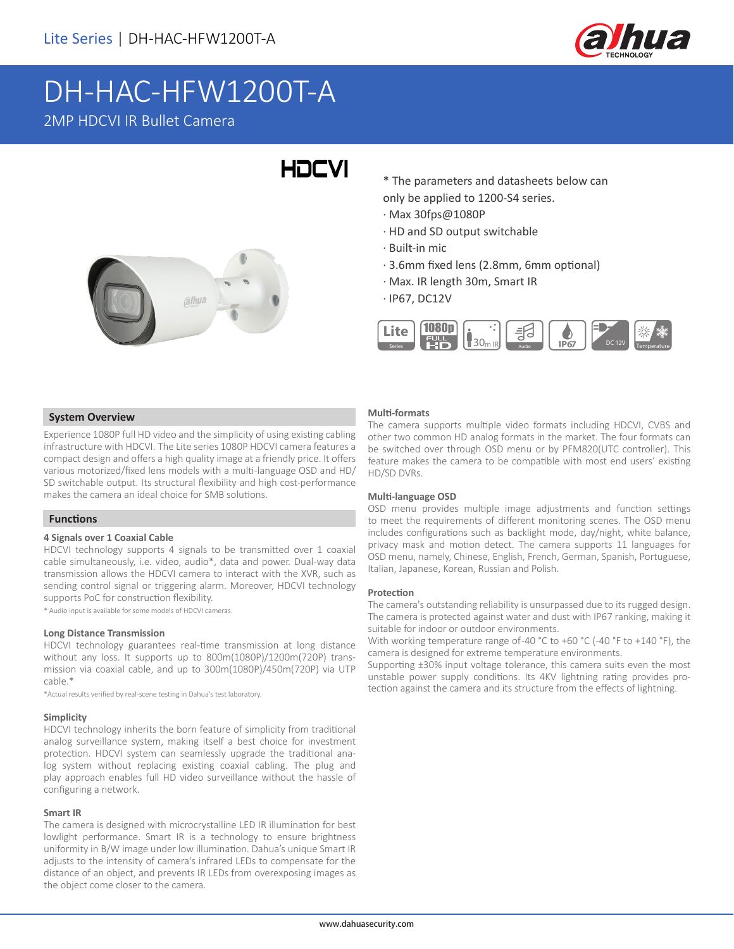

## DH-HAC-HFW1200T-A 2MP HDCVI IR Bullet Camera

# **HDCVI**



\* The parameters and datasheets below can only be applied to 1200-S4 series.

- · Max 30fps@1080P
- · HD and SD output switchable
- · Built-in mic
- · 3.6mm fixed lens (2.8mm, 6mm optional)
- · Max. IR length 30m, Smart IR
- · IP67, DC12V



#### **System Overview**

Experience 1080P full HD video and the simplicity of using existing cabling infrastructure with HDCVI. The Lite series 1080P HDCVI camera features a compact design and offers a high quality image at a friendly price. It offers various motorized/fixed lens models with a multi-language OSD and HD/ SD switchable output. Its structural flexibility and high cost-performance makes the camera an ideal choice for SMB solutions.

#### **Functions**

#### **4 Signals over 1 Coaxial Cable**

HDCVI technology supports 4 signals to be transmitted over 1 coaxial cable simultaneously, i.e. video, audio\*, data and power. Dual-way data transmission allows the HDCVI camera to interact with the XVR, such as sending control signal or triggering alarm. Moreover, HDCVI technology supports PoC for construction flexibility.

\* Audio input is available for some models of HDCVI cameras.

#### **Long Distance Transmission**

HDCVI technology guarantees real-time transmission at long distance without any loss. It supports up to 800m(1080P)/1200m(720P) transmission via coaxial cable, and up to 300m(1080P)/450m(720P) via UTP cable.\*

\*Actual results verified by real-scene testing in Dahua's test laboratory.

#### **Simplicity**

HDCVI technology inherits the born feature of simplicity from traditional analog surveillance system, making itself a best choice for investment protection. HDCVI system can seamlessly upgrade the traditional analog system without replacing existing coaxial cabling. The plug and play approach enables full HD video surveillance without the hassle of configuring a network.

#### **Smart IR**

The camera is designed with microcrystalline LED IR illumination for best lowlight performance. Smart IR is a technology to ensure brightness uniformity in B/W image under low illumination. Dahua's unique Smart IR adjusts to the intensity of camera's infrared LEDs to compensate for the distance of an object, and prevents IR LEDs from overexposing images as the object come closer to the camera.

#### **Multi-formats**

The camera supports multiple video formats including HDCVI, CVBS and other two common HD analog formats in the market. The four formats can be switched over through OSD menu or by PFM820(UTC controller). This feature makes the camera to be compatible with most end users' existing HD/SD DVRs.

#### **Multi-language OSD**

OSD menu provides multiple image adjustments and function settings to meet the requirements of different monitoring scenes. The OSD menu includes configurations such as backlight mode, day/night, white balance, privacy mask and motion detect. The camera supports 11 languages for OSD menu, namely, Chinese, English, French, German, Spanish, Portuguese, Italian, Japanese, Korean, Russian and Polish.

#### **Protection**

The camera's outstanding reliability is unsurpassed due to its rugged design. The camera is protected against water and dust with IP67 ranking, making it suitable for indoor or outdoor environments.

With working temperature range of-40 °C to +60 °C (-40 °F to +140 °F), the camera is designed for extreme temperature environments.

Supporting ±30% input voltage tolerance, this camera suits even the most unstable power supply conditions. Its 4KV lightning rating provides protection against the camera and its structure from the effects of lightning.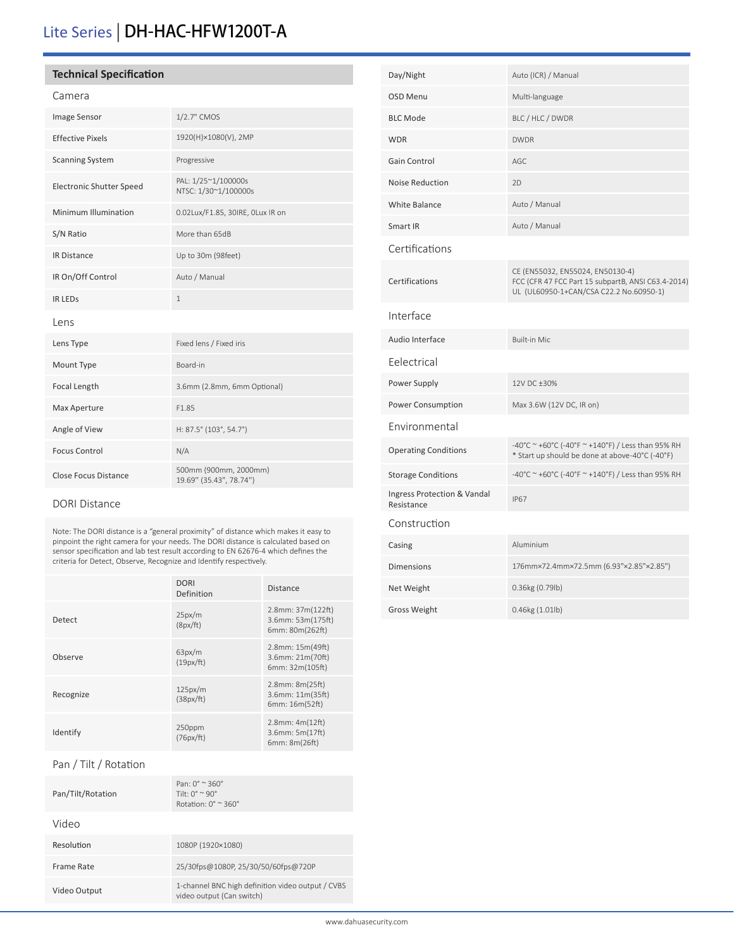### Lite Series | DH-HAC-HFW1200T-A

#### **Technical Specification**

| ı |  |
|---|--|
|---|--|

| Image Sensor                    | 1/2.7" CMOS                                      |
|---------------------------------|--------------------------------------------------|
| <b>Effective Pixels</b>         | 1920(H)×1080(V), 2MP                             |
| <b>Scanning System</b>          | Progressive                                      |
| <b>Electronic Shutter Speed</b> | PAL: 1/25~1/100000s<br>NTSC: 1/30~1/100000s      |
| Minimum Illumination            | 0.02Lux/F1.85, 30IRE, OLux IR on                 |
| S/N Ratio                       | More than 65dB                                   |
| <b>IR Distance</b>              | Up to 30m (98feet)                               |
| IR On/Off Control               | Auto / Manual                                    |
| <b>IR LEDS</b>                  | $\mathbf{1}$                                     |
| Lens                            |                                                  |
| Lens Type                       | Fixed lens / Fixed iris                          |
| Mount Type                      | Board-in                                         |
| Focal Length                    | 3.6mm (2.8mm, 6mm Optional)                      |
| Max Aperture                    | F1.85                                            |
| Angle of View                   | H: 87.5° (103°, 54.7°)                           |
| <b>Focus Control</b>            | N/A                                              |
| <b>Close Focus Distance</b>     | 500mm (900mm, 2000mm)<br>19.69" (35.43", 78.74") |

#### DORI Distance

Note: The DORI distance is a "general proximity" of distance which makes it easy to pinpoint the right camera for your needs. The DORI distance is calculated based on sensor specification and lab test result according to EN 62676-4 which defines the criteria for Detect, Observe, Recognize and Identify respectively.

|           | <b>DORI</b><br>Definition | <b>Distance</b>                                           |
|-----------|---------------------------|-----------------------------------------------------------|
| Detect    | 25px/m<br>(8px/ft)        | 2.8mm: 37m(122ft)<br>3.6mm: 53m(175ft)<br>6mm: 80m(262ft) |
| Observe   | 63px/m<br>(19px/ft)       | 2.8mm: 15m(49ft)<br>3.6mm: 21m(70ft)<br>6mm: 32m(105ft)   |
| Recognize | 125px/m<br>(38px/ft)      | 2.8mm: 8m(25ft)<br>3.6mm: 11m(35ft)<br>6mm: 16m(52ft)     |
| Identify  | 250ppm<br>(76px/ft)       | $2.8$ mm: $4m(12ft)$<br>3.6mm: 5m(17ft)<br>6mm: 8m(26ft)  |

### Pan / Tilt / Rotation

| Pan/Tilt/Rotation | Pan: $0^\circ \approx 360^\circ$<br>Tilt. $0^{\circ} \sim 90^{\circ}$<br>Rotation: $0^\circ \approx 360^\circ$ |
|-------------------|----------------------------------------------------------------------------------------------------------------|
| Video             |                                                                                                                |
| Resolution        | 1080P (1920×1080)                                                                                              |
| Frame Rate        | 25/30fps@1080P, 25/30/50/60fps@720P                                                                            |
| Video Output      | 1-channel BNC high definition video output / CVBS<br>video output (Can switch)                                 |

| Day/Night                                 | Auto (ICR) / Manual                                                                                                               |
|-------------------------------------------|-----------------------------------------------------------------------------------------------------------------------------------|
| OSD Menu                                  | Multi-language                                                                                                                    |
| <b>BLC Mode</b>                           | BLC / HLC / DWDR                                                                                                                  |
| <b>WDR</b>                                | <b>DWDR</b>                                                                                                                       |
| Gain Control                              | AGC                                                                                                                               |
| <b>Noise Reduction</b>                    | 2D                                                                                                                                |
| <b>White Balance</b>                      | Auto / Manual                                                                                                                     |
| Smart IR                                  | Auto / Manual                                                                                                                     |
| Certifications                            |                                                                                                                                   |
| Certifications                            | CE (EN55032, EN55024, EN50130-4)<br>FCC (CFR 47 FCC Part 15 subpartB, ANSI C63.4-2014)<br>UL (UL60950-1+CAN/CSA C22.2 No.60950-1) |
| Interface                                 |                                                                                                                                   |
| Audio Interface                           | <b>Built-in Mic</b>                                                                                                               |
| Eelectrical                               |                                                                                                                                   |
| Power Supply                              | 12V DC ±30%                                                                                                                       |
| Power Consumption                         | Max 3.6W (12V DC, IR on)                                                                                                          |
| <b>Environmental</b>                      |                                                                                                                                   |
| <b>Operating Conditions</b>               | -40°C ~ +60°C (-40°F ~ +140°F) / Less than 95% RH<br>* Start up should be done at above-40°C (-40°F)                              |
| <b>Storage Conditions</b>                 | -40°C ~ +60°C (-40°F ~ +140°F) / Less than 95% RH                                                                                 |
| Ingress Protection & Vandal<br>Resistance | <b>IP67</b>                                                                                                                       |
| Construction                              |                                                                                                                                   |
| Casing                                    | Aluminium                                                                                                                         |
| <b>Dimensions</b>                         | 176mm×72.4mm×72.5mm (6.93"×2.85"×2.85")                                                                                           |
| Net Weight                                | 0.36kg (0.79lb)                                                                                                                   |
| Gross Weight                              | $0.46$ kg $(1.01$ lb)                                                                                                             |